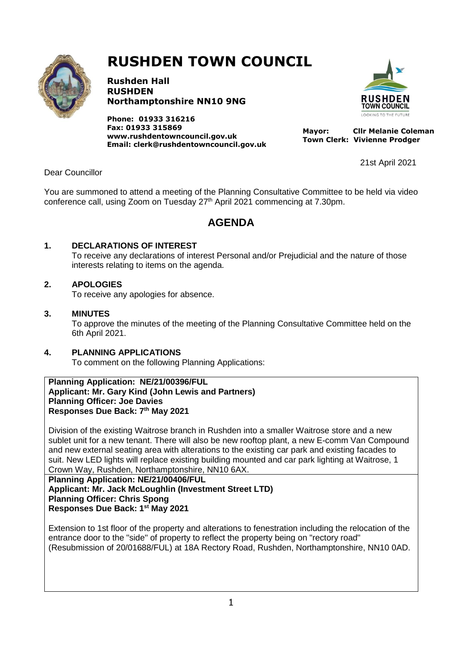

# **RUSHDEN TOWN COUNCIL**

**Rushden Hall RUSHDEN Northamptonshire NN10 9NG**

**Phone: 01933 316216 Fax: 01933 315869 [www.rushdentowncouncil.gov.uk](http://www.rushdentowncouncil.gov.uk/) Email: clerk@rushdentowncouncil.gov.uk**



21st April 2021

 **Mayor: Cllr Melanie Coleman Town Clerk: Vivienne Prodger**

Dear Councillor

You are summoned to attend a meeting of the Planning Consultative Committee to be held via video conference call, using Zoom on Tuesday 27<sup>th</sup> April 2021 commencing at 7.30pm.

# **AGENDA**

# **1. DECLARATIONS OF INTEREST**

To receive any declarations of interest Personal and/or Prejudicial and the nature of those interests relating to items on the agenda.

# **2. APOLOGIES**

To receive any apologies for absence.

# **3. MINUTES**

To approve the minutes of the meeting of the Planning Consultative Committee held on the 6th April 2021.

# **4. PLANNING APPLICATIONS**

To comment on the following Planning Applications:

**Planning Application: NE/21/00396/FUL Applicant: Mr. Gary Kind (John Lewis and Partners) Planning Officer: Joe Davies Responses Due Back: 7th May 2021**

Division of the existing Waitrose branch in Rushden into a smaller Waitrose store and a new sublet unit for a new tenant. There will also be new rooftop plant, a new E-comm Van Compound and new external seating area with alterations to the existing car park and existing facades to suit. New LED lights will replace existing building mounted and car park lighting at Waitrose, 1 Crown Way, Rushden, Northamptonshire, NN10 6AX.

**Planning Application: NE/21/00406/FUL Applicant: Mr. Jack McLoughlin (Investment Street LTD) Planning Officer: Chris Spong Responses Due Back: 1st May 2021**

Extension to 1st floor of the property and alterations to fenestration including the relocation of the entrance door to the "side" of property to reflect the property being on "rectory road" (Resubmission of 20/01688/FUL) at 18A Rectory Road, Rushden, Northamptonshire, NN10 0AD.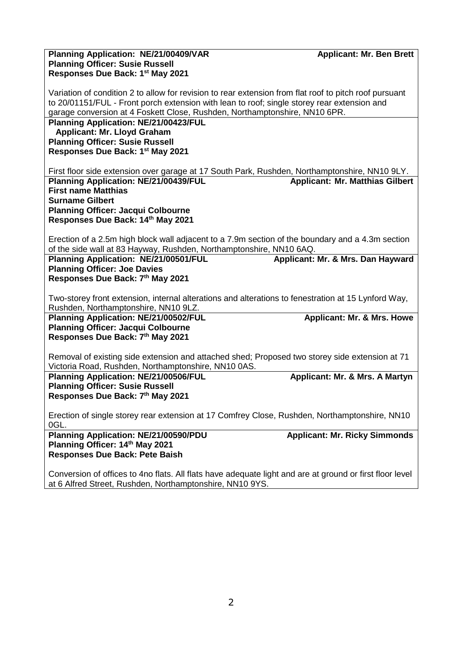| Planning Application: NE/21/00409/VAR<br><b>Planning Officer: Susie Russell</b><br>Responses Due Back: 1 <sup>st</sup> May 2021                                                                                                                                                     | <b>Applicant: Mr. Ben Brett</b>        |
|-------------------------------------------------------------------------------------------------------------------------------------------------------------------------------------------------------------------------------------------------------------------------------------|----------------------------------------|
| Variation of condition 2 to allow for revision to rear extension from flat roof to pitch roof pursuant<br>to 20/01151/FUL - Front porch extension with lean to roof; single storey rear extension and<br>garage conversion at 4 Foskett Close, Rushden, Northamptonshire, NN10 6PR. |                                        |
| <b>Planning Application: NE/21/00423/FUL</b><br><b>Applicant: Mr. Lloyd Graham</b><br><b>Planning Officer: Susie Russell</b><br>Responses Due Back: 1st May 2021                                                                                                                    |                                        |
| First floor side extension over garage at 17 South Park, Rushden, Northamptonshire, NN10 9LY.                                                                                                                                                                                       |                                        |
| Planning Application: NE/21/00439/FUL<br><b>First name Matthias</b><br><b>Surname Gilbert</b>                                                                                                                                                                                       | <b>Applicant: Mr. Matthias Gilbert</b> |
| <b>Planning Officer: Jacqui Colbourne</b><br>Responses Due Back: 14th May 2021                                                                                                                                                                                                      |                                        |
| Erection of a 2.5m high block wall adjacent to a 7.9m section of the boundary and a 4.3m section<br>of the side wall at 83 Hayway, Rushden, Northamptonshire, NN10 6AQ.                                                                                                             |                                        |
| Planning Application: NE/21/00501/FUL<br><b>Planning Officer: Joe Davies</b>                                                                                                                                                                                                        | Applicant: Mr. & Mrs. Dan Hayward      |
| Responses Due Back: 7th May 2021                                                                                                                                                                                                                                                    |                                        |
| Two-storey front extension, internal alterations and alterations to fenestration at 15 Lynford Way,<br>Rushden, Northamptonshire, NN10 9LZ.                                                                                                                                         |                                        |
| <b>Planning Application: NE/21/00502/FUL</b><br><b>Planning Officer: Jacqui Colbourne</b><br>Responses Due Back: 7th May 2021                                                                                                                                                       | <b>Applicant: Mr. &amp; Mrs. Howe</b>  |
| Removal of existing side extension and attached shed; Proposed two storey side extension at 71<br>Victoria Road, Rushden, Northamptonshire, NN10 0AS.                                                                                                                               |                                        |
| <b>Planning Application: NE/21/00506/FUL</b><br><b>Planning Officer: Susie Russell</b><br>Responses Due Back: 7th May 2021                                                                                                                                                          | Applicant: Mr. & Mrs. A Martyn         |
| Erection of single storey rear extension at 17 Comfrey Close, Rushden, Northamptonshire, NN10<br>OGL.                                                                                                                                                                               |                                        |
| Planning Application: NE/21/00590/PDU<br>Planning Officer: 14th May 2021                                                                                                                                                                                                            | <b>Applicant: Mr. Ricky Simmonds</b>   |
| <b>Responses Due Back: Pete Baish</b>                                                                                                                                                                                                                                               |                                        |
| Conversion of offices to 4no flats. All flats have adequate light and are at ground or first floor level<br>at 6 Alfred Street, Rushden, Northamptonshire, NN10 9YS.                                                                                                                |                                        |